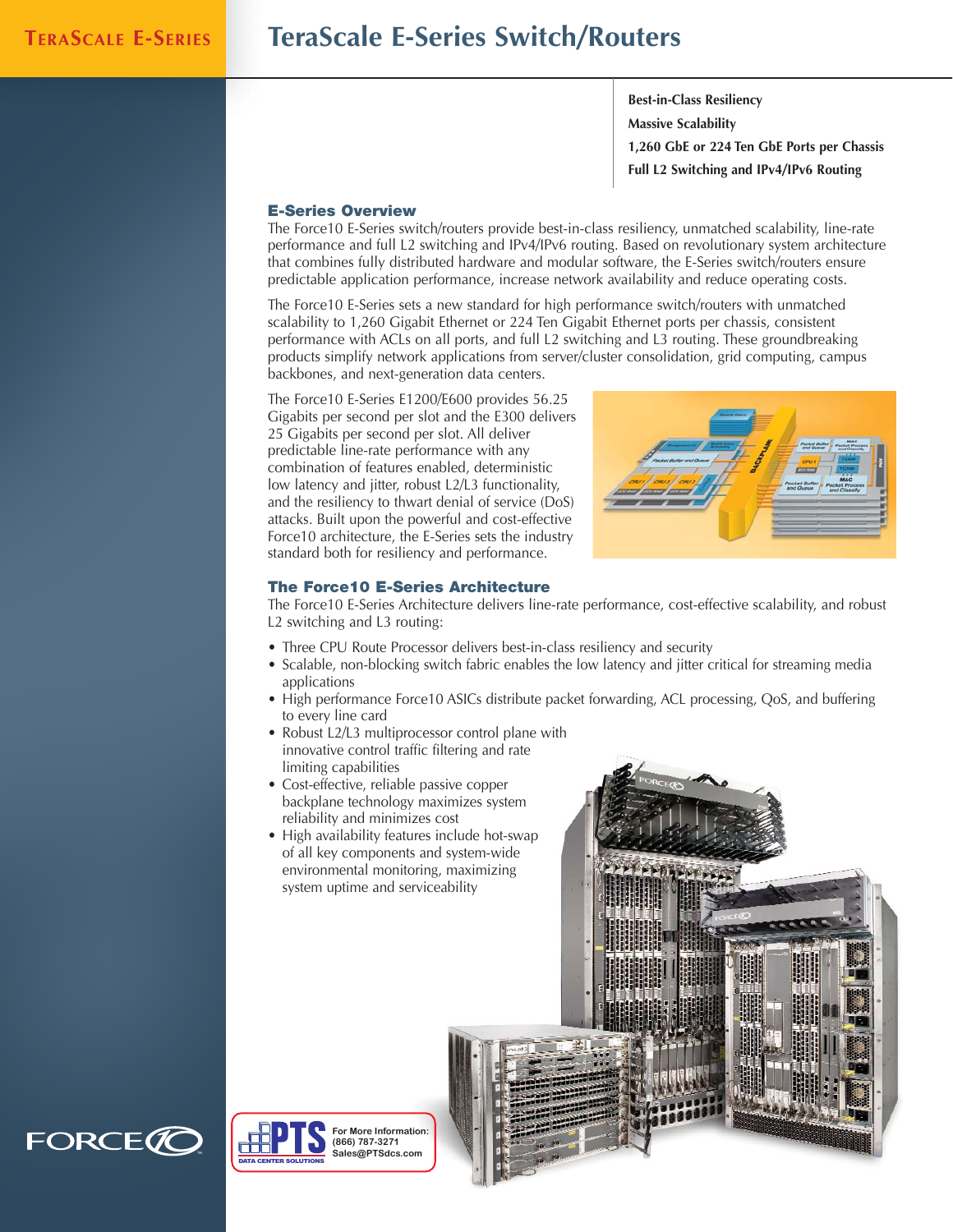# **TERASCALE E-SERIES TeraScale E-Series Switch/Routers**

**Best-in-Class Resiliency Massive Scalability 1,260 GbE or 224 Ten GbE Ports per Chassis Full L2 Switching and IPv4/IPv6 Routing**

# **E-Series Overview**

The Force10 E-Series switch/routers provide best-in-class resiliency, unmatched scalability, line-rate performance and full L2 switching and IPv4/IPv6 routing. Based on revolutionary system architecture that combines fully distributed hardware and modular software, the E-Series switch/routers ensure predictable application performance, increase network availability and reduce operating costs.

The Force10 E-Series sets a new standard for high performance switch/routers with unmatched scalability to 1,260 Gigabit Ethernet or 224 Ten Gigabit Ethernet ports per chassis, consistent performance with ACLs on all ports, and full L2 switching and L3 routing. These groundbreaking products simplify network applications from server/cluster consolidation, grid computing, campus backbones, and next-generation data centers.

The Force10 E-Series E1200/E600 provides 56.25 Gigabits per second per slot and the E300 delivers 25 Gigabits per second per slot. All deliver predictable line-rate performance with any combination of features enabled, deterministic low latency and jitter, robust L2/L3 functionality, and the resiliency to thwart denial of service (DoS) attacks. Built upon the powerful and cost-effective Force10 architecture, the E-Series sets the industry standard both for resiliency and performance.



# **The Force10 E-Series Architecture**

The Force10 E-Series Architecture delivers line-rate performance, cost-effective scalability, and robust L2 switching and L3 routing:

- Three CPU Route Processor delivers best-in-class resiliency and security
- Scalable, non-blocking switch fabric enables the low latency and jitter critical for streaming media applications
- High performance Force10 ASICs distribute packet forwarding, ACL processing, QoS, and buffering to every line card
- Robust L2/L3 multiprocessor control plane with innovative control traffic filtering and rate limiting capabilities
- Cost-effective, reliable passive copper backplane technology maximizes system reliability and minimizes cost
- High availability features include hot-swap of all key components and system-wide environmental monitoring, maximizing system uptime and serviceability





DATA CENTER SOLUTIONS

**(866) 787-3271 Sales@PTSdcs.com**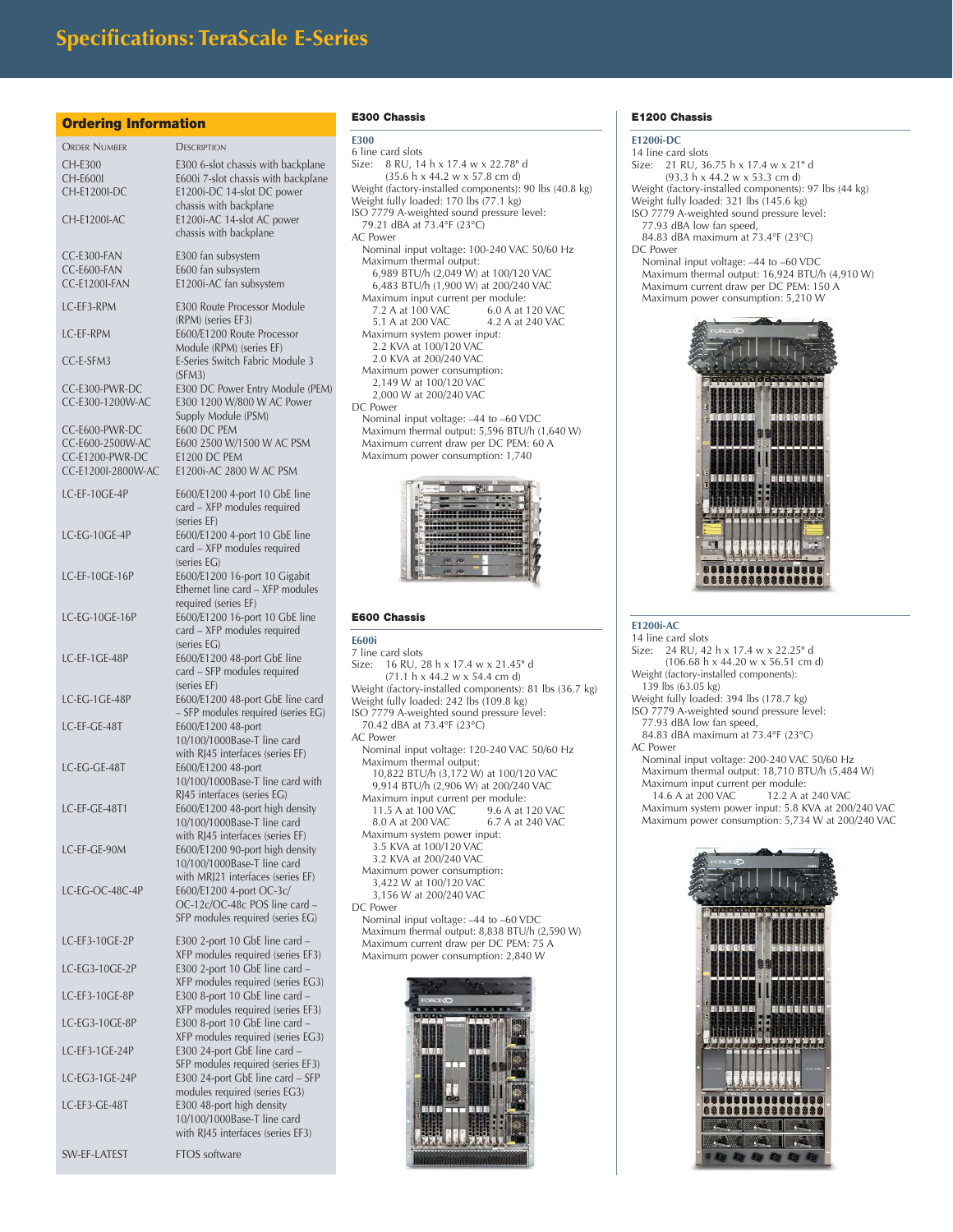#### **Ordering Information**

| <b>ORDER NUMBER</b>                | <b>DESCRIPTION</b>                                                     |
|------------------------------------|------------------------------------------------------------------------|
| CH-E300                            | E300 6-slot chassis with backplane                                     |
| CH-E600I                           | E600i 7-slot chassis with backplane                                    |
| CH-E1200I-DC                       | E1200i-DC 14-slot DC power                                             |
| <b>CH-E1200I-AC</b>                | chassis with backplane<br>E1200i-AC 14-slot AC power                   |
|                                    | chassis with backplane                                                 |
| CC-E300-FAN                        | E300 fan subsystem                                                     |
| CC-E600-FAN                        | E600 fan subsystem                                                     |
| <b>CC-E1200I-FAN</b>               | E1200i-AC fan subsystem                                                |
| LC-EF3-RPM                         | E300 Route Processor Module<br>(RPM) (series EF3)                      |
| <b>I.C.-EF-RPM</b>                 | E600/E1200 Route Processor<br>Module (RPM) (series EF)                 |
| CC-E-SFM3                          | E-Series Switch Fabric Module 3<br>(SFM3)                              |
| CC-E300-PWR-DC                     | E300 DC Power Entry Module (PEM)                                       |
| CC-E300-1200W-AC                   | E300 1200 W/800 W AC Power                                             |
|                                    | Supply Module (PSM)                                                    |
| CC-E600-PWR-DC<br>CC-E600-2500W-AC | E600 DC PEM<br>E600 2500 W/1500 W AC PSM                               |
| CC-E1200-PWR-DC                    | <b>E1200 DC PEM</b>                                                    |
| CC-E1200I-2800W-AC                 | E1200i-AC 2800 W AC PSM                                                |
| LC-EF-10GE-4P                      | E600/E1200 4-port 10 GbE line                                          |
|                                    | card - XFP modules required                                            |
| LC-EG-10GE-4P                      | (series EF)<br>E600/E1200 4-port 10 GbE line                           |
|                                    | card - XFP modules required                                            |
|                                    | (series EG)                                                            |
| LC-EF-10GE-16P                     | E600/E1200 16-port 10 Gigabit<br>Ethernet line card - XFP modules      |
|                                    | required (series EF)                                                   |
| LC-EG-10GE-16P                     | E600/E1200 16-port 10 GbE line                                         |
|                                    | card - XFP modules required<br>(series EG)                             |
| LC-EF-1GE-48P                      | E600/E1200 48-port GbE line                                            |
|                                    | card - SFP modules required                                            |
|                                    | (series EF)                                                            |
| LC-EG-1GE-48P                      | E600/E1200 48-port GbE line card<br>- SFP modules required (series EG) |
| LC-EF-GE-48T                       | E600/E1200 48-port                                                     |
|                                    | 10/100/1000Base-T line card                                            |
| LC-EG-GE-48T                       | with RJ45 interfaces (series EF)<br>E600/E1200 48-port                 |
|                                    | 10/100/1000Base-T line card with                                       |
|                                    | RJ45 interfaces (series EG)<br>E600/E1200 48-port high density         |
| LC-EF-GE-48T1                      | 10/100/1000Base-T line card                                            |
|                                    | with RJ45 interfaces (series EF)                                       |
| LC-EF-GE-90M                       | E600/E1200 90-port high density                                        |
|                                    | 10/100/1000Base-T line card<br>with MRJ21 interfaces (series EF)       |
| LC-EG-OC-48C-4P                    | E600/E1200 4-port OC-3c/                                               |
|                                    | OC-12c/OC-48c POS line card -<br>SFP modules required (series EG)      |
|                                    |                                                                        |
| LC-EF3-10GE-2P                     | E300 2-port 10 GbE line card -<br>XFP modules required (series EF3)    |
| LC-EG3-10GE-2P                     | E300 2-port 10 GbE line card -                                         |
|                                    | XFP modules required (series EG3)                                      |
| LC-EF3-10GE-8P                     | E300 8-port 10 GbE line card -<br>XFP modules required (series EF3)    |
| LC-EG3-10GE-8P                     | E300 8-port 10 GbE line card -<br>XFP modules required (series EG3)    |
| LC-EF3-1GE-24P                     | E300 24-port GbE line card -<br>SFP modules required (series EF3)      |
| LC-EG3-1GE-24P                     | E300 24-port GbE line card - SFP<br>modules required (series EG3)      |
| LC-EF3-GE-48T                      | E300 48-port high density                                              |
|                                    | 10/100/1000Base-T line card                                            |
|                                    | with RJ45 interfaces (series EF3)                                      |

SW-EF-LATEST FTOS software

## **E300 Chassis**

#### **E300**

```
6 line card slots<br>Size: 8 RU, 14
       Size: 8 RU, 14 h x 17.4 w x 22.78" d 
        (35.6 h x 44.2 w x 57.8 cm d)
Weight (factory-installed components): 90 lbs (40.8 kg)
Weight fully loaded: 170 lbs (77.1 kg)
ISO 7779 A-weighted sound pressure level: 
  79.21 dBA at 73.4°F (23°C)
AC Power
  Nominal input voltage: 100-240 VAC 50/60 Hz
  Maximum thermal output: 
    6,989 BTU/h (2,049 W) at 100/120 VAC
    6,483 BTU/h (1,900 W) at 200/240 VAC
  Maximum input current per module:
     7.2 A at 100 VAC 6.0 A at 120 VAC<br>5.1 A at 200 VAC 4.2 A at 240 VAC
                               4.2 A at 240 VAC
   Maximum system power input: 
2.2 KVA at 100/120 VAC
    2.0 KVA at 200/240 VAC
  Maximum power consumption: 
    2,149 W at 100/120 VAC
     2,000 W at 200/240 VAC
DC Power
  Nominal input voltage: –44 to –60 VDC
  Maximum thermal output: 5,596 BTU/h (1,640 W)
  Maximum current draw per DC PEM: 60 A
  Maximum power consumption: 1,740
```


#### **E600 Chassis**

### **E600i**

7 line card slots<br>Size: 16 RU, 2 16 RU, 28 h x 17.4 w x 21.45" d (71.1 h x 44.2 w x 54.4 cm d) Weight (factory-installed components): 81 lbs (36.7 kg) Weight fully loaded: 242 lbs (109.8 kg) ISO 7779 A-weighted sound pressure level: 70.42 dBA at 73.4°F (23°C) AC Power Nominal input voltage: 120-240 VAC 50/60 Hz Maximum thermal output: 10,822 BTU/h (3,172 W) at 100/120 VAC 9,914 BTU/h (2,906 W) at 200/240 VAC Maximum input current per module:<br>11.5 A at 100 VAC 9.6 A at 120 VAC 11.5 A at 100 VAC<br>8.0 A at 200 VAC 6.7 A at 240 VAC Maximum system power input: 3.5 KVA at 100/120 VAC 3.2 KVA at 200/240 VAC Maximum power consumption: 3,422 W at 100/120 VAC 3,156 W at 200/240 VAC DC Power Nominal input voltage: –44 to –60 VDC Maximum thermal output: 8,838 BTU/h (2,590 W) Maximum current draw per DC PEM: 75 A Maximum power consumption: 2,840 W



# **E1200 Chassis**

# **E1200i-DC**

14 line card slots Size: 21 RU, 36.75 h x 17.4 w x 21" d (93.3 h x 44.2 w x 53.3 cm d) Weight (factory-installed components): 97 lbs (44 kg) Weight fully loaded: 321 lbs (145.6 kg) ISO 7779 A-weighted sound pressure level: 77.93 dBA low fan speed, 84.83 dBA maximum at 73.4°F (23°C) DC Power

Nominal input voltage: –44 to –60 VDC Maximum thermal output: 16,924 BTU/h (4,910 W) Maximum current draw per DC PEM: 150 A Maximum power consumption: 5,210 W



#### **E1200i-AC** 14 line card slots

Size: 24 RU, 42 h x 17.4 w x 22.25" d (106.68 h x 44.20 w x 56.51 cm d) Weight (factory-installed components): 139 lbs (63.05 kg) Weight fully loaded: 394 lbs (178.7 kg) ISO 7779 A-weighted sound pressure level: 77.93 dBA low fan speed, 84.83 dBA maximum at 73.4°F (23°C) AC Power Nominal input voltage: 200-240 VAC 50/60 Hz Maximum thermal output: 18,710 BTU/h (5,484 W) Maximum input current per module:<br>14.6 A at 200 VAC 12.2 A at 12.2 A at 240 VAC Maximum system power input: 5.8 KVA at 200/240 VAC Maximum power consumption: 5,734 W at 200/240 VAC

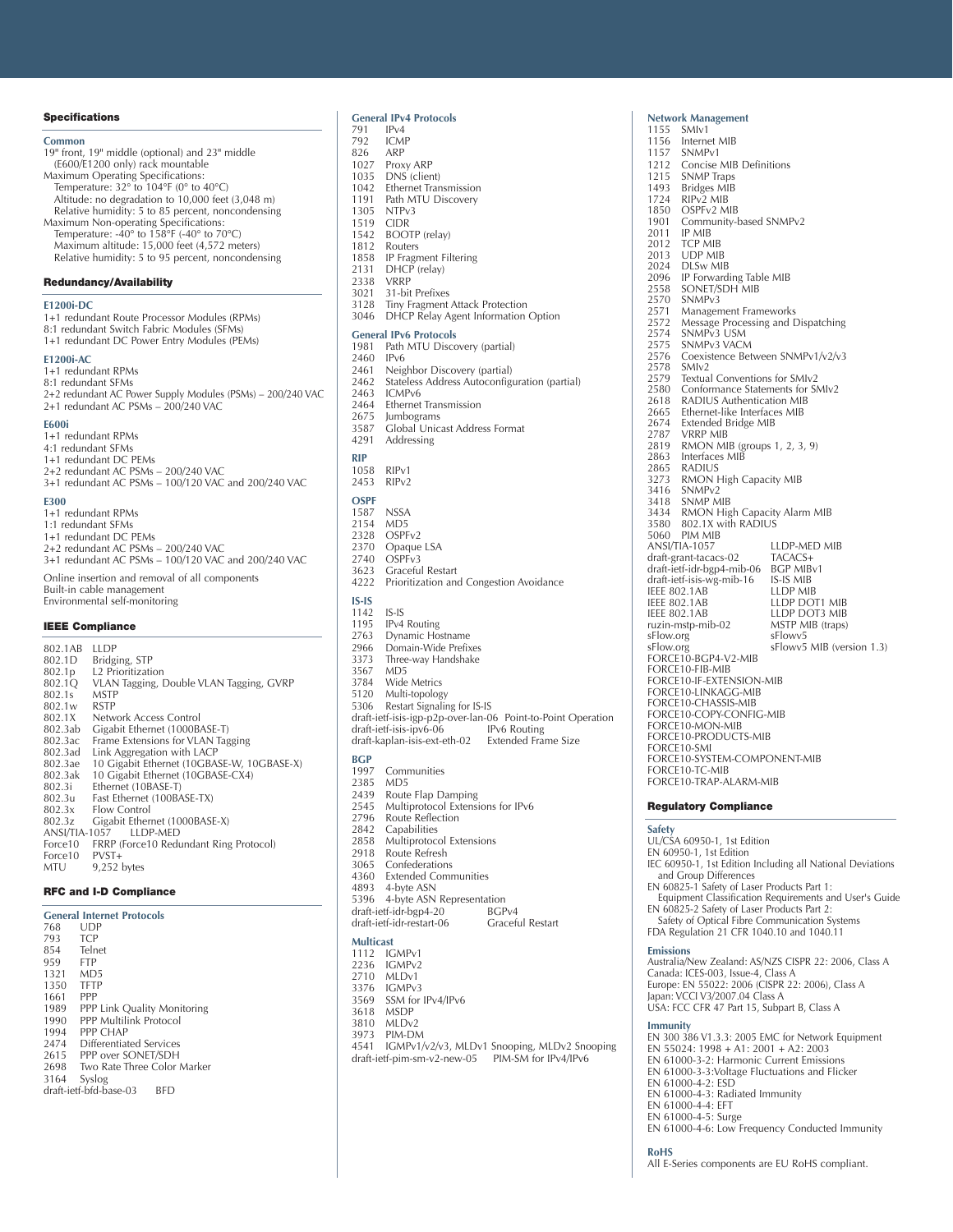#### **Specifications**

**Common** 19" front, 19" middle (optional) and 23" middle (E600/E1200 only) rack mountable Maximum Operating Specifications: Temperature: 32° to 104°F (0° to 40°C) Altitude: no degradation to 10,000 feet (3,048 m) Relative humidity: 5 to 85 percent, noncondensing Maximum Non-operating Specifications: Temperature: -40 $\degree$  to 158 $\degree$ F (-40 $\degree$  to 70 $\degree$ C) Maximum altitude: 15,000 feet (4,572 meters) Relative humidity: 5 to 95 percent, noncondensing

#### **Redundancy/Availability**

### **E1200i-DC**

| 1+1 redundant Route Processor Modules (RPMs)<br>8:1 redundant Switch Fabric Modules (SFMs)<br>1+1 redundant DC Power Entry Modules (PEMs)                         |
|-------------------------------------------------------------------------------------------------------------------------------------------------------------------|
| <b>E1200i-AC</b><br>1+1 redundant RPMs<br>8:1 redundant SFMs<br>2+2 redundant AC Power Supply Modules (PSMs) - 200/240 VAC<br>2+1 redundant AC PSMs - 200/240 VAC |
| <b>E600i</b><br>1+1 redundant RPMs<br>4.1 rodundont CEMe                                                                                                          |

4:1 redundant SFMs 1+1 redundant DC PEMs 2+2 redundant AC PSMs – 200/240 VAC 3+1 redundant AC PSMs – 100/120 VAC and 200/240 VAC **E300**

1+1 redundant RPMs 1:1 redundant SFMs 1+1 redundant DC PEMs 2+2 redundant AC PSMs – 200/240 VAC 3+1 redundant AC PSMs – 100/120 VAC and 200/240 VAC Online insertion and removal of all components

Built-in cable management Environmental self-monitoring

#### **IEEE Compliance**

802.1AB LLDP<br>802.1D Bridgi 802.1D Bridging, STP<br>802.1p L2 Prioritizati 802.1p L2 Prioritization<br>802.1Q VLAN Tagging, I VLAN Tagging, Double VLAN Tagging, GVRP<br>MSTP 802.1s MSTP 802.1w<br>802.1X 802.1X Network Access Control<br>802.3ab Gigabit Ethernet (1000B/ 802.3ab Gigabit Ethernet (1000BASE-T)<br>802.3ac Frame Extensions for VLAN Tag 802.3ac Frame Extensions for VLAN Tagging<br>802.3ac Frame Extensions for VLAN Tagging<br>802.3ad Link Aggregation with LACP 802.3ad Link Aggregation with LACP<br>802.3ad Link Aggregation with LACP<br>802.3ae 10 Gigabit Ethernet (10GBA) 802.3ae 10 Gigabit Ethernet (10GBASE-W, 10GBASE-X)<br>802.3ae 10 Gigabit Ethernet (10GBASE-CX4) 802.3ak 10 Gigabit Ethernet (10GBASE-CX4)<br>802.3i Fthernet (10BASE-T) 802.3i Ethernet (10BASE-T) 802.3u Fast Ethernet (100BASE-TX)  $802.3x$  Flow Control<br> $802.3z$  Gigabit Ether 802.3z Gigabit Ethernet (1000BASE-X)<br>ANSI/TIA-1057 LLDP-MED ANSI/TIA-1057 LLDP-MED Force10 FRRP (Force10 Redundant Ring Protocol) Force10 PVST+<br>MTU 9,252  $9,252$  bytes

#### **RFC and I-D Compliance**

| <b>General Internet Protocols</b> |                             |  |  |
|-----------------------------------|-----------------------------|--|--|
| 768                               | UDP                         |  |  |
| 793                               | <b>TCP</b>                  |  |  |
| 854                               | Telnet                      |  |  |
| 959                               | <b>FTP</b>                  |  |  |
| 1321                              | M <sub>D</sub> <sub>5</sub> |  |  |
| 1350                              | <b>TFTP</b>                 |  |  |
| 1661                              | PPP                         |  |  |
| 1989                              | PPP Link Quality Monitoring |  |  |
| 1990                              | PPP Multilink Protocol      |  |  |
| 1994                              | PPP CHAP                    |  |  |
| 2474                              | Differentiated Services     |  |  |
| 2615                              | PPP over SONET/SDH          |  |  |
| 2698                              | Two Rate Three Color Marker |  |  |
| 3164                              | Syslog                      |  |  |
| draft-ietf-bfd-base-03<br>RFD     |                             |  |  |

| 791          | <b>General IPv4 Protocols</b><br>IPv4                                       |                                                              |
|--------------|-----------------------------------------------------------------------------|--------------------------------------------------------------|
| 792          | <b>ICMP</b>                                                                 |                                                              |
| 826          | ARP                                                                         |                                                              |
| 1027         | Proxy ARP                                                                   |                                                              |
| 1035         | DNS (client)                                                                |                                                              |
| 1042         | Ethernet Transmission                                                       |                                                              |
| 1191         | Path MTU Discovery                                                          |                                                              |
| 1305<br>1519 | NTP <sub>v3</sub><br><b>CIDR</b>                                            |                                                              |
| 1542         | BOOTP (relay)                                                               |                                                              |
| 1812         | Routers                                                                     |                                                              |
| 1858         | IP Fragment Filtering                                                       |                                                              |
| 2131         | DHCP (relay)                                                                |                                                              |
| 2338         | <b>VRRP</b>                                                                 |                                                              |
| 3021         | 31-bit Prefixes                                                             |                                                              |
| 3128<br>3046 | Tiny Fragment Attack Protection<br>DHCP Relay Agent Information Option      |                                                              |
|              | <b>General IPv6 Protocols</b>                                               |                                                              |
| 1981         | Path MTU Discovery (partial)<br>IP <sub>v6</sub>                            |                                                              |
| 2460<br>2461 | Neighbor Discovery (partial)                                                |                                                              |
| 2462         | Stateless Address Autoconfiguration (partial)                               |                                                              |
| 2463         | ICMPv6                                                                      |                                                              |
| 2464         | <b>Ethernet Transmission</b>                                                |                                                              |
| 2675         | Jumbograms                                                                  |                                                              |
| 3587         | Global Unicast Address Format                                               |                                                              |
| 4291         | Addressing                                                                  |                                                              |
| <b>RIP</b>   |                                                                             |                                                              |
| 1058         | RIP <sub>v1</sub>                                                           |                                                              |
| 2453         | RIP <sub>v2</sub>                                                           |                                                              |
| <b>OSPF</b>  |                                                                             |                                                              |
| 1587         | <b>NSSA</b>                                                                 |                                                              |
| 2154         | MD <sub>5</sub>                                                             |                                                              |
|              | 2328 OSPFv2                                                                 |                                                              |
| 2370         | Opaque LSA                                                                  |                                                              |
| 2740         | OSPF <sub>v3</sub>                                                          |                                                              |
| 3623         | Graceful Restart                                                            |                                                              |
| 4222         | Prioritization and Congestion Avoidance                                     |                                                              |
| $IS-IS$      |                                                                             |                                                              |
| 1142         | $IS-IS$                                                                     |                                                              |
| 1195         | IPv4 Routing                                                                |                                                              |
| 2763         | Dynamic Hostname<br>Domain-Wide Prefixes                                    |                                                              |
| 2966<br>3373 | Three-way Handshake                                                         |                                                              |
| 3567         | MD5                                                                         |                                                              |
| 3784         | Wide Metrics                                                                |                                                              |
| 5120         | Multi-topology                                                              |                                                              |
| 5306         | Restart Signaling for IS-IS                                                 |                                                              |
|              |                                                                             | draft-ietf-isis-igp-p2p-over-lan-06 Point-to-Point Operation |
|              | draft-ietf-isis-ipv6-06<br>draft-kaplan-isis-ext-eth-02 Extended Frame Size | IPv6 Routing                                                 |
|              |                                                                             |                                                              |
| BGP          |                                                                             |                                                              |
| 1997         | Communities                                                                 |                                                              |
| 2385         | MD <sub>5</sub>                                                             |                                                              |
| 2439<br>2545 | Route Flap Damping<br>Multiprotocol Extensions for IPv6                     |                                                              |
| 2796         | Route Reflection                                                            |                                                              |
| 2842         | Capabilities                                                                |                                                              |
| 2858         | Multiprotocol Extensions                                                    |                                                              |
| 2918         | Route Refresh                                                               |                                                              |
| 3065         | Confederations                                                              |                                                              |
| 4360         | <b>Extended Communities</b>                                                 |                                                              |
| 4893         | 4-byte ASN                                                                  |                                                              |
| 5396         | 4-byte ASN Representation<br>draft-ietf-idr-bgp4-20                         | BGP <sub>v4</sub>                                            |
|              | draft-ietf-idr-restart-06                                                   | Graceful Restart                                             |
|              |                                                                             |                                                              |

#### **Multicast**

1112 IGMPv1<br>2236 IGMPv2

- 2236 IGMPv2<br>2710 MLDv1
- 2710 MLDv1<br>3376 IGMPv
- 3376 IGMPv3<br>3569 SSM for
- 3569 SSM for IPv4/IPv6<br>3618 MSDP
- 3618 MSDP<br>3810 MLDv:
- 3810 MLDv2<br>3973 PIM-DN
- 3973 PIM-DM<br>4541 IGMPv1/ 4541 IGMPv1/v2/v3, MLDv1 Snooping, MLDv2 Snooping draft-ietf-pim-sm-v2-new-05 PIM-SM for IPv4/IPv6

**Network Management** 1155 SMIv1<br>1156 Interne 1156 Internet MIB<br>1157 SNMPv1 1157 SNMPv1<br>1212 Concise 1212 Concise MIB Definitions<br>1215 SNMP Traps 1215 SNMP Traps<br>1493 Bridges MIB 1493 Bridges MIB<br>1724 RIP<sub>V</sub>2 MIB 1724 RIPv2 MIB<br>1850 OSPEv2 MI 1850 OSPFv2 MIB<br>1901 Community-k 1901 Community-based SNMPv2<br>2011 IP MIB<br>2012 TCP MIB 2011 IP MIB 2012 TCP MIB 2013 UDP MIB<br>2024 DLSw MIB 2024 DLSw MIB<br>2096 IP Forwardi 2096 IP Forwarding Table MIB 2558 SONET/SDH MIB 2570 SNMPv3<br>2571 Managen 2571 Management Frameworks<br>2572 Message Processing and E<br>2574 SNMPv3 USM 2572 Message Processing and Dispatching 2574 SNMPv3 USM 2575 SNMPv3 VACM<br>2576 Coexistence Bet 2576 Coexistence Between SNMPv1/v2/v3<br>2578 SMIv2 2578 SMIv2<br>2579 Textua 2579 Textual Conventions for SMIv2<br>2580 Conformance Statements for SI 2580 Conformance Statements for SMIv2<br>2618 RADIUS Authentication MIB<br>2665 Ethernet-like Interfaces MIB RADIUS Authentication MIB 2665 Ethernet-like Interfaces MIB<br>2674 Extended Bridge MIB 2674 Extended Bridge MIB<br>2787 VRRP MIB 2787 VRRP MIB 2819 RMON MIB (groups 1, 2, 3, 9) 2863 Interfaces MIB<br>2865 RADIUS 2865 RADIUS<br>3273 RMON I 3273 RMON High Capacity MIB<br>3416 SNMPv2 3416 SNMPv2 3418 SNMP MIB<br>3434 RMON Hig 3434 RMON High Capacity Alarm MIB 3580 802.1X with RADIUS 5060 PIM MIB LLDP-MED MIB<br>TACACS+ draft-grant-tacacs-02 TACACS+<br>draft-ietf-idr-bgp4-mib-06 BGP MIBv1<br>draft-ietf-isis-wg-mib-16 IS-IS MIB draft-ietf-idr-bgp4-mib-06 BGP MIBv1 draft-ietf-isis-wg-mib-16 IS-IS MIB IEEE 802.1AB<br>
IEEE 802.1AB<br>
IEEE 802.1AB<br>
IEEE 802.1AB<br>
LLDP DOT IEEE 802.1AB LLDP DOT1 MIB IEEE 802.1AB LLDP DOT3 MIB ruzin-mstp-mib-02 MSTP MIB (traps)<br>sFlow.org sFlowv5 sFlow.org<br>sFlow.org sFlowv5<br>sFlow.org sFlowv5 MIB (version 1.3) sFlow.org sFlowv5 MIB (version 1.3) FORCE10-BGP4-V2-MIB FORCE10-FIB-MIB FORCE10-IF-EXTENSION-MIB FORCE10-LINKAGG-MIB FORCE10-CHASSIS-MIB FORCE10-COPY-CONFIG-MIB FORCE10-MON-MIB FORCE10-PRODUCTS-MIB FORCE10-SMI FORCE10-SYSTEM-COMPONENT-MIB FORCE10-TC-MIB FORCE10-TRAP-ALARM-MIB

**Regulatory Compliance**

**Safety** UL/CSA 60950-1, 1st Edition EN 60950-1, 1st Edition IEC 60950-1, 1st Edition Including all National Deviations and Group Differences EN 60825-1 Safety of Laser Products Part 1: Equipment Classification Requirements and User's Guide EN 60825-2 Safety of Laser Products Part 2: Safety of Optical Fibre Communication Systems FDA Regulation 21 CFR 1040.10 and 1040.11 **Emissions** Australia/New Zealand: AS/NZS CISPR 22: 2006, Class A Canada: ICES-003, Issue-4, Class A Europe: EN 55022: 2006 (CISPR 22: 2006), Class A Japan: VCCI V3/2007.04 Class A USA: FCC CFR 47 Part 15, Subpart B, Class A **Immunity** EN 300 386 V1.3.3: 2005 EMC for Network Equipment EN 55024: 1998 + A1: 2001 + A2: 2003 EN 61000-3-2: Harmonic Current Emissions EN 61000-3-3:Voltage Fluctuations and Flicker

- 
- EN 61000-4-2: ESD
- EN 61000-4-3: Radiated Immunity
- EN 61000-4-4: EFT
- 

EN 61000-4-5: Surge EN 61000-4-6: Low Frequency Conducted Immunity

#### **RoHS**

All E-Series components are EU RoHS compliant.